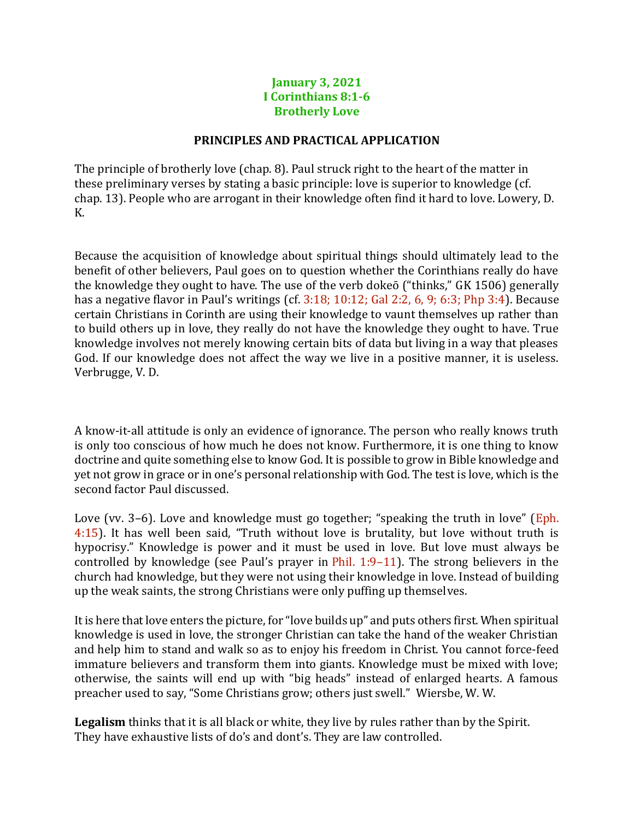## **January 3, 2021 I Corinthians 8:1-6 Brotherly Love**

## **PRINCIPLES AND PRACTICAL APPLICATION**

The principle of brotherly love (chap. 8). Paul struck right to the heart of the matter in these preliminary verses by stating a basic principle: love is superior to knowledge (cf. chap. 13). People who are arrogant in their knowledge often find it hard to love. Lowery, D. K.

Because the acquisition of knowledge about spiritual things should ultimately lead to the benefit of other believers, Paul goes on to question whether the Corinthians really do have the knowledge they ought to have. The use of the verb dokeō ("thinks," GK 1506) generally has a negative flavor in Paul's writings (cf. 3:18; 10:12; Gal 2:2, 6, 9; 6:3; Php 3:4). Because certain Christians in Corinth are using their knowledge to vaunt themselves up rather than to build others up in love, they really do not have the knowledge they ought to have. True knowledge involves not merely knowing certain bits of data but living in a way that pleases God. If our knowledge does not affect the way we live in a positive manner, it is useless. Verbrugge, V. D.

A know-it-all attitude is only an evidence of ignorance. The person who really knows truth is only too conscious of how much he does not know. Furthermore, it is one thing to know doctrine and quite something else to know God. It is possible to grow in Bible knowledge and yet not grow in grace or in one's personal relationship with God. The test is love, which is the second factor Paul discussed.

Love (vv. 3–6). Love and knowledge must go together; "speaking the truth in love" (Eph. 4:15). It has well been said, "Truth without love is brutality, but love without truth is hypocrisy." Knowledge is power and it must be used in love. But love must always be controlled by knowledge (see Paul's prayer in Phil. 1:9–11). The strong believers in the church had knowledge, but they were not using their knowledge in love. Instead of building up the weak saints, the strong Christians were only puffing up themselves.

It is here that love enters the picture, for "love builds up" and puts others first. When spiritual knowledge is used in love, the stronger Christian can take the hand of the weaker Christian and help him to stand and walk so as to enjoy his freedom in Christ. You cannot force-feed immature believers and transform them into giants. Knowledge must be mixed with love; otherwise, the saints will end up with "big heads" instead of enlarged hearts. A famous preacher used to say, "Some Christians grow; others just swell." Wiersbe, W. W.

**Legalism** thinks that it is all black or white, they live by rules rather than by the Spirit. They have exhaustive lists of do's and dont's. They are law controlled.